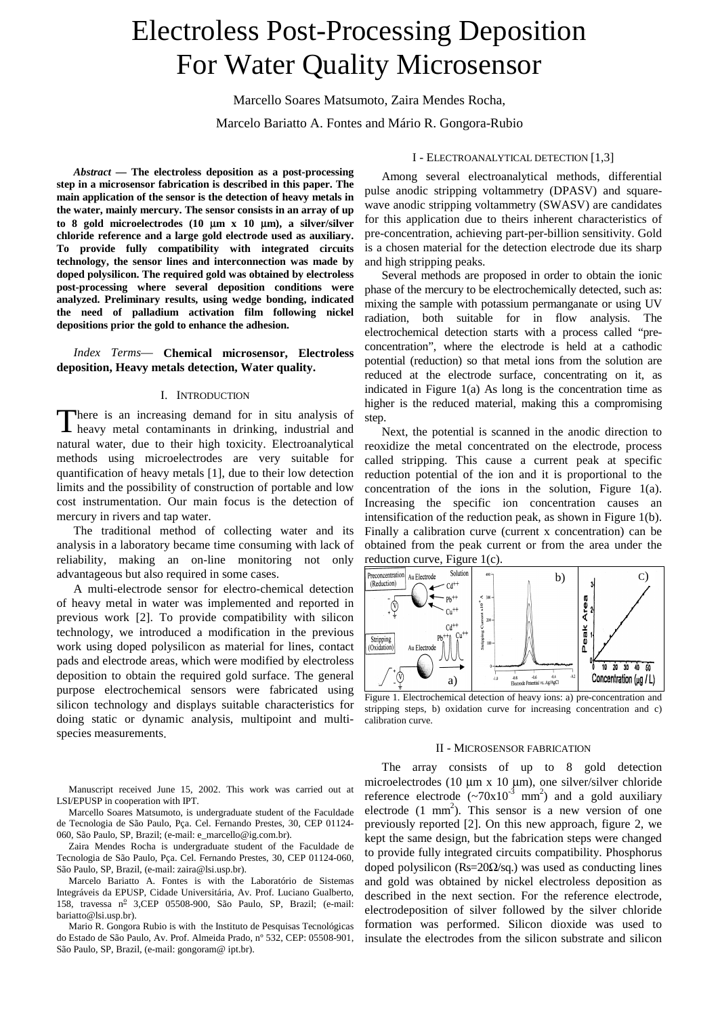# Electroless Post-Processing Deposition For Water Quality Microsensor

Marcello Soares Matsumoto, Zaira Mendes Rocha,

Marcelo Bariatto A. Fontes and Mário R. Gongora-Rubio

*Abstract* **— The electroless deposition as a post-processing step in a microsensor fabrication is described in this paper. The main application of the sensor is the detection of heavy metals in the water, mainly mercury. The sensor consists in an array of up to 8 gold microelectrodes (10** µ**m x 10** µ**m), a silver/silver chloride reference and a large gold electrode used as auxiliary. To provide fully compatibility with integrated circuits technology, the sensor lines and interconnection was made by doped polysilicon. The required gold was obtained by electroless post-processing where several deposition conditions were analyzed. Preliminary results, using wedge bonding, indicated the need of palladium activation film following nickel depositions prior the gold to enhance the adhesion.**

*Index Terms*— **Chemical microsensor, Electroless deposition, Heavy metals detection, Water quality.**

### I. INTRODUCTION

here is an increasing demand for in situ analysis of There is an increasing demand for in situ analysis of heavy metal contaminants in drinking, industrial and natural water, due to their high toxicity. Electroanalytical methods using microelectrodes are very suitable for quantification of heavy metals [1], due to their low detection limits and the possibility of construction of portable and low cost instrumentation. Our main focus is the detection of mercury in rivers and tap water.

The traditional method of collecting water and its analysis in a laboratory became time consuming with lack of reliability, making an on-line monitoring not only advantageous but also required in some cases.

A multi-electrode sensor for electro-chemical detection of heavy metal in water was implemented and reported in previous work [2]. To provide compatibility with silicon technology, we introduced a modification in the previous work using doped polysilicon as material for lines, contact pads and electrode areas, which were modified by electroless deposition to obtain the required gold surface. The general purpose electrochemical sensors were fabricated using silicon technology and displays suitable characteristics for doing static or dynamic analysis, multipoint and multispecies measurements.

Manuscript received June 15, 2002. This work was carried out at LSI/EPUSP in cooperation with IPT.

Marcello Soares Matsumoto, is undergraduate student of the Faculdade de Tecnologia de São Paulo, Pça. Cel. Fernando Prestes, 30, CEP 01124- 060, São Paulo, SP, Brazil; (e-mail: e\_marcello@ig.com.br).

Zaira Mendes Rocha is undergraduate student of the Faculdade de Tecnologia de São Paulo, Pça. Cel. Fernando Prestes, 30, CEP 01124-060, São Paulo, SP, Brazil, (e-mail: zaira@lsi.usp.br).

Marcelo Bariatto A. Fontes is with the Laboratório de Sistemas Integráveis da EPUSP, Cidade Universitária, Av. Prof. Luciano Gualberto, 158, travessa nº 3,CEP 05508-900, São Paulo, SP, Brazil; (e-mail: bariatto@lsi.usp.br).

Mario R. Gongora Rubio is with the Instituto de Pesquisas Tecnológicas do Estado de São Paulo, Av. Prof. Almeida Prado, nº 532, CEP: 05508-901, São Paulo, SP, Brazil, (e-mail: gongoram@ ipt.br).

# I - ELECTROANALYTICAL DETECTION [1,3]

Among several electroanalytical methods, differential pulse anodic stripping voltammetry (DPASV) and squarewave anodic stripping voltammetry (SWASV) are candidates for this application due to theirs inherent characteristics of pre-concentration, achieving part-per-billion sensitivity. Gold is a chosen material for the detection electrode due its sharp and high stripping peaks.

Several methods are proposed in order to obtain the ionic phase of the mercury to be electrochemically detected, such as: mixing the sample with potassium permanganate or using UV radiation, both suitable for in flow analysis. The electrochemical detection starts with a process called "preconcentration", where the electrode is held at a cathodic potential (reduction) so that metal ions from the solution are reduced at the electrode surface, concentrating on it, as indicated in Figure 1(a) As long is the concentration time as higher is the reduced material, making this a compromising step.

Next, the potential is scanned in the anodic direction to reoxidize the metal concentrated on the electrode, process called stripping. This cause a current peak at specific reduction potential of the ion and it is proportional to the concentration of the ions in the solution, Figure 1(a). Increasing the specific ion concentration causes an intensification of the reduction peak, as shown in Figure 1(b). Finally a calibration curve (current x concentration) can be obtained from the peak current or from the area under the reduction curve, Figure 1(c).



Figure 1. Electrochemical detection of heavy ions: a) pre-concentration and stripping steps, b) oxidation curve for increasing concentration and c) calibration curve.

# II - MICROSENSOR FABRICATION

The array consists of up to 8 gold detection microelectrodes (10 µm x 10 µm), one silver/silver chloride reference electrode  $({\sim}70x10^{-3}$  mm<sup>2</sup>) and a gold auxiliary electrode  $(1 \text{ mm}^2)$ . This sensor is a new version of one previously reported [2]. On this new approach, figure 2, we kept the same design, but the fabrication steps were changed to provide fully integrated circuits compatibility. Phosphorus doped polysilicon (Rs=20Ω/sq.) was used as conducting lines and gold was obtained by nickel electroless deposition as described in the next section. For the reference electrode, electrodeposition of silver followed by the silver chloride formation was performed. Silicon dioxide was used to insulate the electrodes from the silicon substrate and silicon